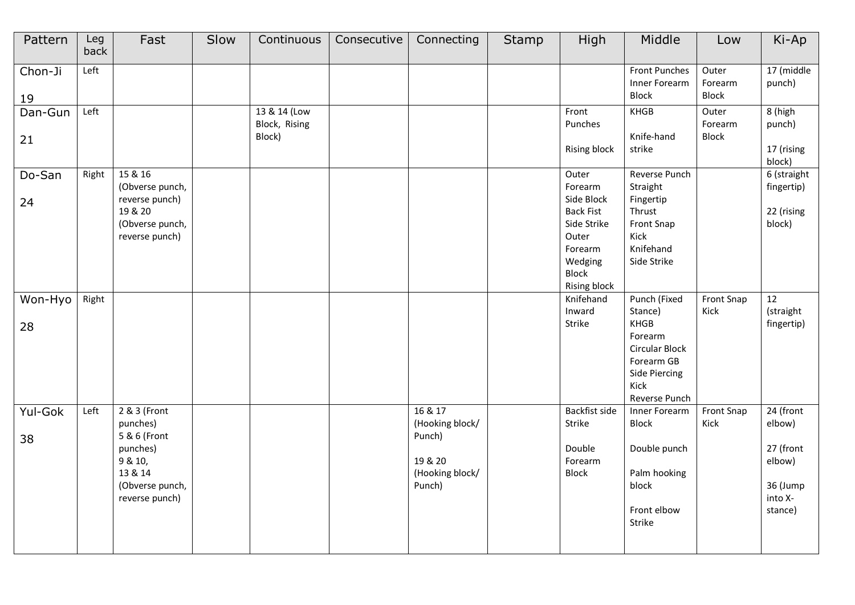| Pattern       | Leg<br>back | Fast                                                                                                            | Slow | Continuous                              | Consecutive | Connecting                                                                   | <b>Stamp</b> | High                                                                                                                             | Middle                                                                                                                      | Low                              | Ki-Ap                                                                        |
|---------------|-------------|-----------------------------------------------------------------------------------------------------------------|------|-----------------------------------------|-------------|------------------------------------------------------------------------------|--------------|----------------------------------------------------------------------------------------------------------------------------------|-----------------------------------------------------------------------------------------------------------------------------|----------------------------------|------------------------------------------------------------------------------|
| Chon-Ji<br>19 | Left        |                                                                                                                 |      |                                         |             |                                                                              |              |                                                                                                                                  | <b>Front Punches</b><br>Inner Forearm<br><b>Block</b>                                                                       | Outer<br>Forearm<br>Block        | 17 (middle<br>punch)                                                         |
| Dan-Gun<br>21 | Left        |                                                                                                                 |      | 13 & 14 (Low<br>Block, Rising<br>Block) |             |                                                                              |              | Front<br>Punches<br><b>Rising block</b>                                                                                          | KHGB<br>Knife-hand<br>strike                                                                                                | Outer<br>Forearm<br><b>Block</b> | 8 (high<br>punch)<br>17 (rising<br>block)                                    |
| Do-San<br>24  | Right       | 15 & 16<br>(Obverse punch,<br>reverse punch)<br>19 & 20<br>(Obverse punch,<br>reverse punch)                    |      |                                         |             |                                                                              |              | Outer<br>Forearm<br>Side Block<br><b>Back Fist</b><br>Side Strike<br>Outer<br>Forearm<br>Wedging<br>Block<br><b>Rising block</b> | Reverse Punch<br>Straight<br>Fingertip<br>Thrust<br>Front Snap<br>Kick<br>Knifehand<br>Side Strike                          |                                  | 6 (straight<br>fingertip)<br>22 (rising<br>block)                            |
| Won-Hyo<br>28 | Right       |                                                                                                                 |      |                                         |             |                                                                              |              | Knifehand<br>Inward<br>Strike                                                                                                    | Punch (Fixed<br>Stance)<br>KHGB<br>Forearm<br><b>Circular Block</b><br>Forearm GB<br>Side Piercing<br>Kick<br>Reverse Punch | <b>Front Snap</b><br>Kick        | 12<br>(straight<br>fingertip)                                                |
| Yul-Gok<br>38 | Left        | 2 & 3 (Front<br>punches)<br>5 & 6 (Front<br>punches)<br>9 & 10,<br>13 & 14<br>(Obverse punch,<br>reverse punch) |      |                                         |             | 16 & 17<br>(Hooking block/<br>Punch)<br>19 & 20<br>(Hooking block/<br>Punch) |              | <b>Backfist side</b><br>Strike<br>Double<br>Forearm<br><b>Block</b>                                                              | Inner Forearm<br>Block<br>Double punch<br>Palm hooking<br>block<br>Front elbow<br>Strike                                    | <b>Front Snap</b><br>Kick        | 24 (front<br>elbow)<br>27 (front<br>elbow)<br>36 (Jump<br>into X-<br>stance) |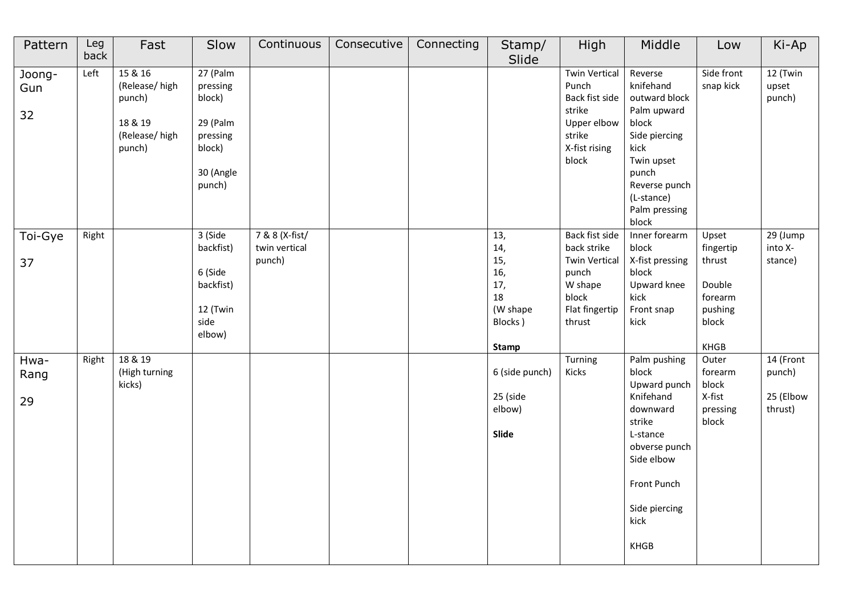| Pattern             | Leg<br>back | Fast                                                                     | Slow                                                                                    | Continuous                                | Consecutive | Connecting | Stamp/<br>Slide                                                              | High                                                                                                           | Middle                                                                                                                                                                 | Low                                                                           | Ki-Ap                                       |
|---------------------|-------------|--------------------------------------------------------------------------|-----------------------------------------------------------------------------------------|-------------------------------------------|-------------|------------|------------------------------------------------------------------------------|----------------------------------------------------------------------------------------------------------------|------------------------------------------------------------------------------------------------------------------------------------------------------------------------|-------------------------------------------------------------------------------|---------------------------------------------|
| Joong-<br>Gun<br>32 | Left        | 15 & 16<br>(Release/high<br>punch)<br>18 & 19<br>(Release/high<br>punch) | 27 (Palm<br>pressing<br>block)<br>29 (Palm<br>pressing<br>block)<br>30 (Angle<br>punch) |                                           |             |            |                                                                              | <b>Twin Vertical</b><br>Punch<br>Back fist side<br>strike<br>Upper elbow<br>strike<br>X-fist rising<br>block   | Reverse<br>knifehand<br>outward block<br>Palm upward<br>block<br>Side piercing<br>kick<br>Twin upset<br>punch<br>Reverse punch<br>(L-stance)<br>Palm pressing<br>block | Side front<br>snap kick                                                       | 12 (Twin<br>upset<br>punch)                 |
| Toi-Gye<br>37       | Right       |                                                                          | 3 (Side<br>backfist)<br>6 (Side<br>backfist)<br>12 (Twin<br>side<br>elbow)              | 7 & 8 (X-fist/<br>twin vertical<br>punch) |             |            | 13,<br>14,<br>15,<br>16,<br>17,<br>18<br>(W shape<br>Blocks)<br><b>Stamp</b> | Back fist side<br>back strike<br><b>Twin Vertical</b><br>punch<br>W shape<br>block<br>Flat fingertip<br>thrust | Inner forearm<br>block<br>X-fist pressing<br>block<br>Upward knee<br>kick<br>Front snap<br>kick                                                                        | Upset<br>fingertip<br>thrust<br>Double<br>forearm<br>pushing<br>block<br>KHGB | 29 (Jump<br>into X-<br>stance)              |
| Hwa-<br>Rang<br>29  | Right       | 18 & 19<br>(High turning<br>kicks)                                       |                                                                                         |                                           |             |            | 6 (side punch)<br>25 (side<br>elbow)<br>Slide                                | Turning<br>Kicks                                                                                               | Palm pushing<br>block<br>Upward punch<br>Knifehand<br>downward<br>strike<br>L-stance<br>obverse punch<br>Side elbow<br>Front Punch<br>Side piercing<br>kick<br>KHGB    | Outer<br>forearm<br>block<br>X-fist<br>pressing<br>block                      | 14 (Front<br>punch)<br>25 (Elbow<br>thrust) |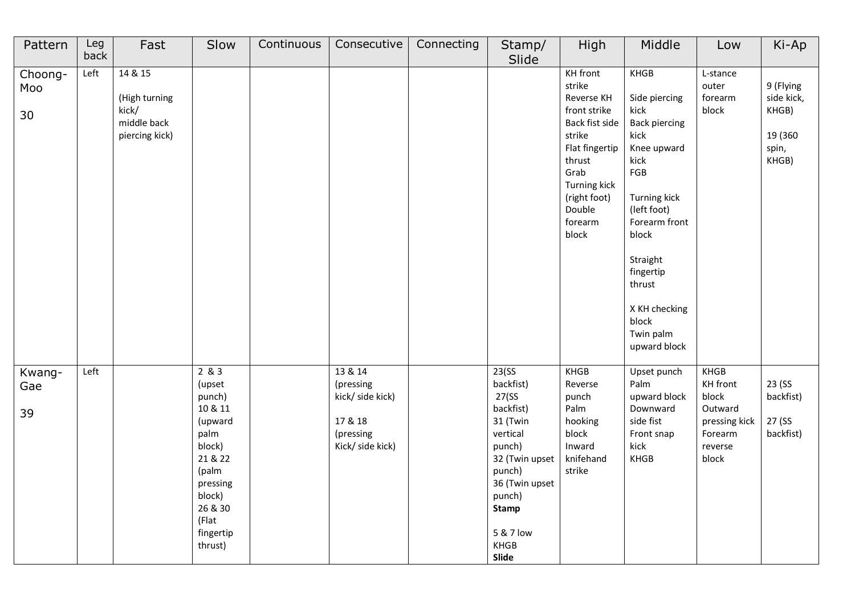| Pattern              | Leg<br>back | Fast                                                               | Slow                                                                                                                                                    | Continuous | Consecutive                                                                          | Connecting | Stamp/<br>Slide                                                                                                                                                                    | High                                                                                                                                                                                  | Middle                                                                                                                                                                                                                                                | Low                                                                                  | Ki-Ap                                                          |
|----------------------|-------------|--------------------------------------------------------------------|---------------------------------------------------------------------------------------------------------------------------------------------------------|------------|--------------------------------------------------------------------------------------|------------|------------------------------------------------------------------------------------------------------------------------------------------------------------------------------------|---------------------------------------------------------------------------------------------------------------------------------------------------------------------------------------|-------------------------------------------------------------------------------------------------------------------------------------------------------------------------------------------------------------------------------------------------------|--------------------------------------------------------------------------------------|----------------------------------------------------------------|
| Choong-<br>Moo<br>30 | Left        | 14 & 15<br>(High turning<br>kick/<br>middle back<br>piercing kick) |                                                                                                                                                         |            |                                                                                      |            |                                                                                                                                                                                    | KH front<br>strike<br>Reverse KH<br>front strike<br>Back fist side<br>strike<br>Flat fingertip<br>thrust<br>Grab<br><b>Turning kick</b><br>(right foot)<br>Double<br>forearm<br>block | <b>KHGB</b><br>Side piercing<br>kick<br><b>Back piercing</b><br>kick<br>Knee upward<br>kick<br>FGB<br>Turning kick<br>(left foot)<br>Forearm front<br>block<br>Straight<br>fingertip<br>thrust<br>X KH checking<br>block<br>Twin palm<br>upward block | L-stance<br>outer<br>forearm<br>block                                                | 9 (Flying<br>side kick,<br>KHGB)<br>19 (360)<br>spin,<br>KHGB) |
| Kwang-<br>Gae<br>39  | Left        |                                                                    | 2 & 3<br>(upset<br>punch)<br>10 & 11<br>(upward<br>palm<br>block)<br>21 & 22<br>(palm<br>pressing<br>block)<br>26 & 30<br>(Flat<br>fingertip<br>thrust) |            | 13 & 14<br>(pressing<br>kick/ side kick)<br>17 & 18<br>(pressing<br>Kick/ side kick) |            | 23(SS)<br>backfist)<br>27(SS)<br>backfist)<br>31 (Twin<br>vertical<br>punch)<br>32 (Twin upset<br>punch)<br>36 (Twin upset<br>punch)<br><b>Stamp</b><br>5 & 7 low<br>KHGB<br>Slide | <b>KHGB</b><br>Reverse<br>punch<br>Palm<br>hooking<br>block<br>Inward<br>knifehand<br>strike                                                                                          | Upset punch<br>Palm<br>upward block<br>Downward<br>side fist<br>Front snap<br>kick<br>KHGB                                                                                                                                                            | KHGB<br>KH front<br>block<br>Outward<br>pressing kick<br>Forearm<br>reverse<br>block | 23 (SS<br>backfist)<br>27 (SS<br>backfist)                     |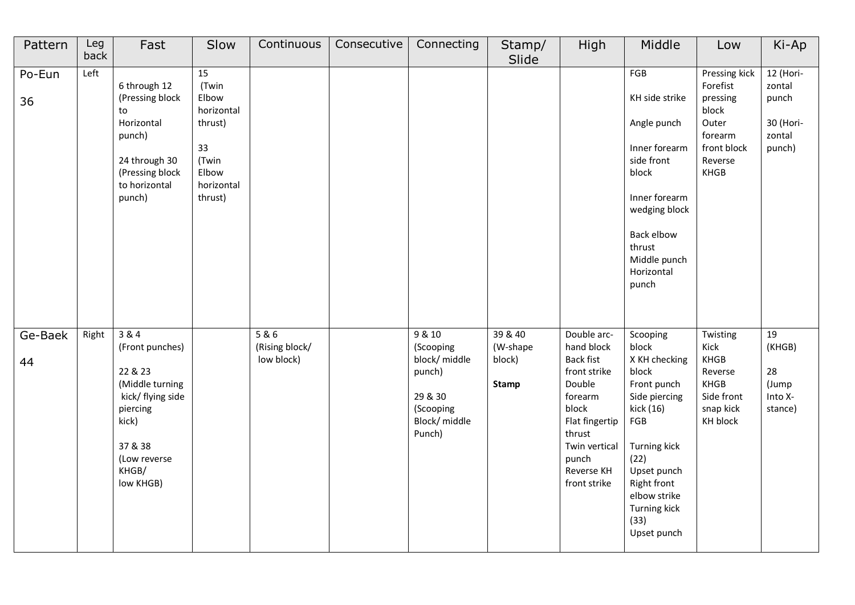| Pattern       | Leg<br>back | Fast                                                                                                                                              | Slow                                                                                           | Continuous                          | Consecutive | Connecting                                                                                       | Stamp/<br>Slide                               | High                                                                                                                                                                            | Middle                                                                                                                                                                                                              | Low                                                                                                  | Ki-Ap                                                         |
|---------------|-------------|---------------------------------------------------------------------------------------------------------------------------------------------------|------------------------------------------------------------------------------------------------|-------------------------------------|-------------|--------------------------------------------------------------------------------------------------|-----------------------------------------------|---------------------------------------------------------------------------------------------------------------------------------------------------------------------------------|---------------------------------------------------------------------------------------------------------------------------------------------------------------------------------------------------------------------|------------------------------------------------------------------------------------------------------|---------------------------------------------------------------|
| Po-Eun<br>36  | Left        | 6 through 12<br>(Pressing block<br>to<br>Horizontal<br>punch)<br>24 through 30<br>(Pressing block<br>to horizontal<br>punch)                      | 15<br>(Twin<br>Elbow<br>horizontal<br>thrust)<br>33<br>(Twin<br>Elbow<br>horizontal<br>thrust) |                                     |             |                                                                                                  |                                               |                                                                                                                                                                                 | FGB<br>KH side strike<br>Angle punch<br>Inner forearm<br>side front<br>block<br>Inner forearm<br>wedging block<br>Back elbow<br>thrust<br>Middle punch<br>Horizontal<br>punch                                       | Pressing kick<br>Forefist<br>pressing<br>block<br>Outer<br>forearm<br>front block<br>Reverse<br>KHGB | 12 (Hori-<br>zontal<br>punch<br>30 (Hori-<br>zontal<br>punch) |
| Ge-Baek<br>44 | Right       | 3 & 4<br>(Front punches)<br>22 & 23<br>(Middle turning<br>kick/ flying side<br>piercing<br>kick)<br>37 & 38<br>(Low reverse<br>KHGB/<br>low KHGB) |                                                                                                | 5&6<br>(Rising block/<br>low block) |             | 9 & 10<br>(Scooping<br>block/ middle<br>punch)<br>29 & 30<br>(Scooping<br>Block/middle<br>Punch) | 39 & 40<br>(W-shape<br>block)<br><b>Stamp</b> | Double arc-<br>hand block<br><b>Back fist</b><br>front strike<br>Double<br>forearm<br>block<br>Flat fingertip<br>thrust<br>Twin vertical<br>punch<br>Reverse KH<br>front strike | Scooping<br>block<br>X KH checking<br>block<br>Front punch<br>Side piercing<br>kick (16)<br>FGB<br><b>Turning kick</b><br>(22)<br>Upset punch<br>Right front<br>elbow strike<br>Turning kick<br>(33)<br>Upset punch | Twisting<br>Kick<br>KHGB<br>Reverse<br>KHGB<br>Side front<br>snap kick<br>KH block                   | 19<br>(KHGB)<br>28<br>(Jump<br>Into X-<br>stance)             |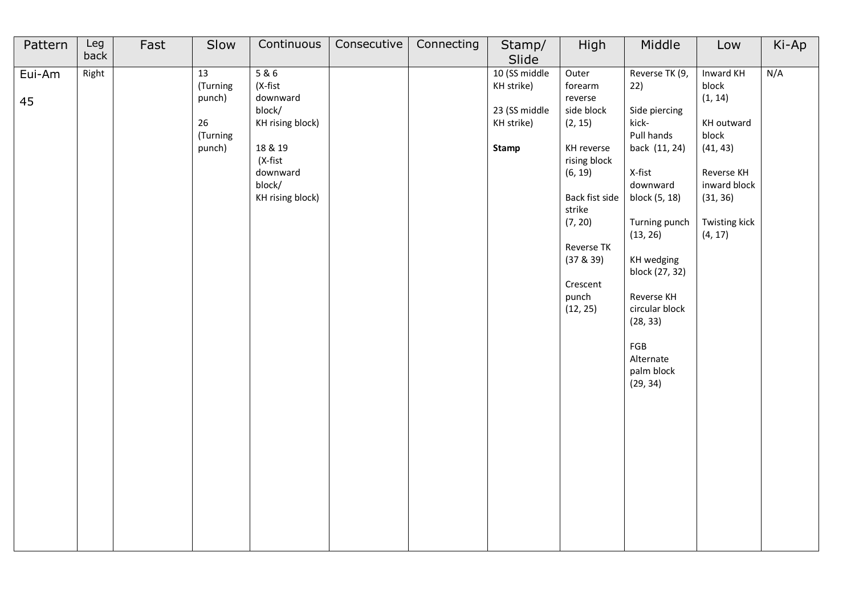| Pattern      | Leg<br>back | Fast | Slow                                                 | Continuous                                                                                                               | Consecutive | Connecting | Stamp/<br>Slide                                                     | High                                                                                                                                                                                             | Middle                                                                                                                                                                                                                                                                       | Low                                                                                                                                    | Ki-Ap |
|--------------|-------------|------|------------------------------------------------------|--------------------------------------------------------------------------------------------------------------------------|-------------|------------|---------------------------------------------------------------------|--------------------------------------------------------------------------------------------------------------------------------------------------------------------------------------------------|------------------------------------------------------------------------------------------------------------------------------------------------------------------------------------------------------------------------------------------------------------------------------|----------------------------------------------------------------------------------------------------------------------------------------|-------|
| Eui-Am<br>45 | Right       |      | 13<br>(Turning<br>punch)<br>26<br>(Turning<br>punch) | 5&6<br>(X-fist<br>downward<br>block/<br>KH rising block)<br>18 & 19<br>(X-fist<br>downward<br>block/<br>KH rising block) |             |            | 10 (SS middle<br>KH strike)<br>23 (SS middle<br>KH strike)<br>Stamp | Outer<br>forearm<br>reverse<br>side block<br>(2, 15)<br>KH reverse<br>rising block<br>(6, 19)<br>Back fist side<br>strike<br>(7, 20)<br>Reverse TK<br>(37 & 39)<br>Crescent<br>punch<br>(12, 25) | Reverse TK (9,<br>22)<br>Side piercing<br>kick-<br>Pull hands<br>back (11, 24)<br>X-fist<br>downward<br>block (5, 18)<br>Turning punch<br>(13, 26)<br>KH wedging<br>block (27, 32)<br>Reverse KH<br>circular block<br>(28, 33)<br>FGB<br>Alternate<br>palm block<br>(29, 34) | Inward KH<br>block<br>(1, 14)<br>KH outward<br>block<br>(41, 43)<br>Reverse KH<br>inward block<br>(31, 36)<br>Twisting kick<br>(4, 17) | N/A   |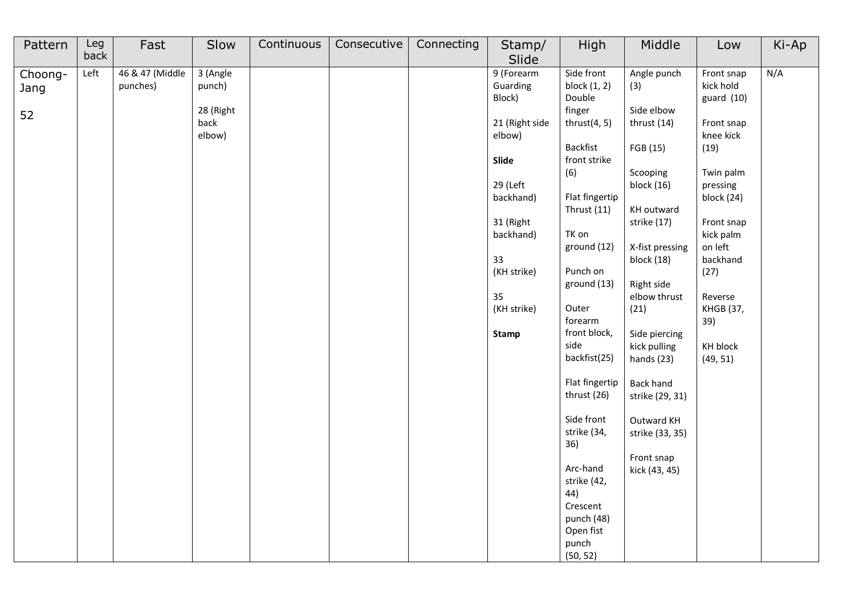| Pattern | Leg  | Fast            | Slow      | Continuous | Consecutive | Connecting | Stamp/         | High                                                                                       | Middle           | Low                    | Ki-Ap |
|---------|------|-----------------|-----------|------------|-------------|------------|----------------|--------------------------------------------------------------------------------------------|------------------|------------------------|-------|
|         | back |                 |           |            |             |            | Slide          |                                                                                            |                  |                        |       |
| Choong- | Left | 46 & 47 (Middle | 3 (Angle  |            |             |            | 9 (Forearm     | Side front                                                                                 | Angle punch      | Front snap             | N/A   |
| Jang    |      | punches)        | punch)    |            |             |            | Guarding       | block $(1, 2)$                                                                             | (3)              | kick hold              |       |
|         |      |                 |           |            |             |            | Block)         | Double                                                                                     |                  | guard $(10)$           |       |
| 52      |      |                 | 28 (Right |            |             |            |                | finger                                                                                     | Side elbow       |                        |       |
|         |      |                 | back      |            |             |            | 21 (Right side | thrust $(4, 5)$                                                                            | thrust (14)      | Front snap             |       |
|         |      |                 | elbow)    |            |             |            | elbow)         |                                                                                            |                  | knee kick              |       |
|         |      |                 |           |            |             |            |                | Backfist                                                                                   | FGB (15)         | (19)                   |       |
|         |      |                 |           |            |             |            | Slide          | front strike                                                                               |                  |                        |       |
|         |      |                 |           |            |             |            |                | (6)                                                                                        | Scooping         | Twin palm              |       |
|         |      |                 |           |            |             |            | 29 (Left       | Flat fingertip                                                                             | block (16)       | pressing<br>block (24) |       |
|         |      |                 |           |            |             |            | backhand)      | Thrust $(11)$                                                                              | KH outward       |                        |       |
|         |      |                 |           |            |             |            | 31 (Right      |                                                                                            | strike (17)      | Front snap             |       |
|         |      |                 |           |            |             |            | backhand)      | TK on                                                                                      |                  | kick palm              |       |
|         |      |                 |           |            |             |            |                | ground (12)                                                                                | X-fist pressing  | on left                |       |
|         |      |                 |           |            |             |            | 33             |                                                                                            | block (18)       | backhand               |       |
|         |      |                 |           |            |             |            | (KH strike)    | Punch on                                                                                   |                  | (27)                   |       |
|         |      |                 |           |            |             |            |                | ground (13)                                                                                | Right side       |                        |       |
|         |      |                 |           |            |             |            | 35             |                                                                                            | elbow thrust     | Reverse                |       |
|         |      |                 |           |            |             |            | (KH strike)    | Outer                                                                                      | (21)             | <b>KHGB (37,</b>       |       |
|         |      |                 |           |            |             |            |                | forearm                                                                                    |                  | 39)                    |       |
|         |      |                 |           |            |             |            | Stamp          | front block,                                                                               | Side piercing    |                        |       |
|         |      |                 |           |            |             |            |                | side                                                                                       | kick pulling     | KH block               |       |
|         |      |                 |           |            |             |            |                | backfist(25)                                                                               | hands (23)       | (49, 51)               |       |
|         |      |                 |           |            |             |            |                |                                                                                            |                  |                        |       |
|         |      |                 |           |            |             |            |                | Flat fingertip                                                                             | <b>Back hand</b> |                        |       |
|         |      |                 |           |            |             |            |                | thrust (26)                                                                                | strike (29, 31)  |                        |       |
|         |      |                 |           |            |             |            |                |                                                                                            |                  |                        |       |
|         |      |                 |           |            |             |            |                | Side front                                                                                 | Outward KH       |                        |       |
|         |      |                 |           |            |             |            |                | strike (34,                                                                                | strike (33, 35)  |                        |       |
|         |      |                 |           |            |             |            |                | 36)                                                                                        |                  |                        |       |
|         |      |                 |           |            |             |            |                |                                                                                            | Front snap       |                        |       |
|         |      |                 |           |            |             |            |                |                                                                                            |                  |                        |       |
|         |      |                 |           |            |             |            |                |                                                                                            |                  |                        |       |
|         |      |                 |           |            |             |            |                |                                                                                            |                  |                        |       |
|         |      |                 |           |            |             |            |                |                                                                                            |                  |                        |       |
|         |      |                 |           |            |             |            |                |                                                                                            |                  |                        |       |
|         |      |                 |           |            |             |            |                |                                                                                            |                  |                        |       |
|         |      |                 |           |            |             |            |                |                                                                                            |                  |                        |       |
|         |      |                 |           |            |             |            |                | Arc-hand<br>strike (42,<br>44)<br>Crescent<br>punch (48)<br>Open fist<br>punch<br>(50, 52) | kick (43, 45)    |                        |       |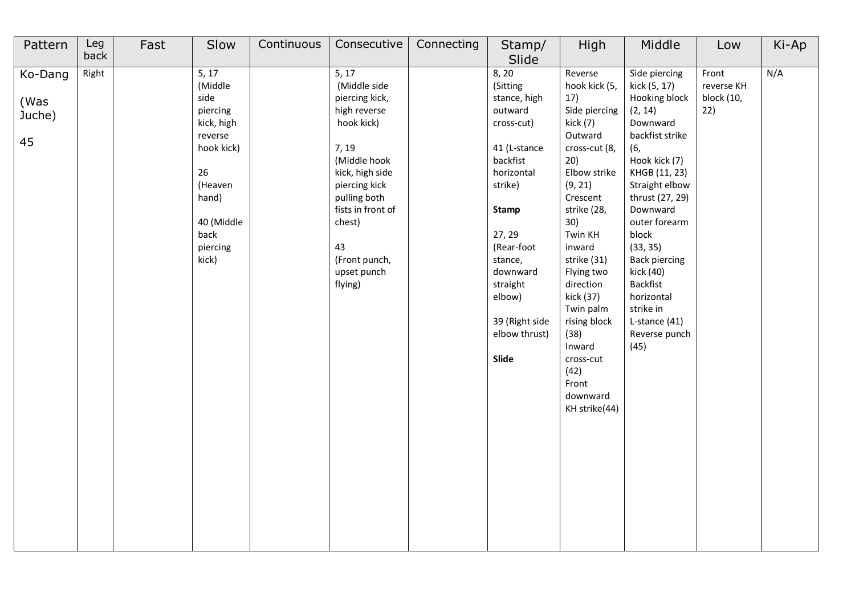| Pattern                         | Leg<br>back | Fast | Slow                                                                                                                                             | Continuous | Consecutive                                                                                                                                                                                                                                     | Connecting | Stamp/                                                                                                                                                                                                                                             | High                                                                                                                                                                                                                                                                                                                                               | Middle                                                                                                                                                                                                                                                                                                                                         | Low                                      | Ki-Ap |
|---------------------------------|-------------|------|--------------------------------------------------------------------------------------------------------------------------------------------------|------------|-------------------------------------------------------------------------------------------------------------------------------------------------------------------------------------------------------------------------------------------------|------------|----------------------------------------------------------------------------------------------------------------------------------------------------------------------------------------------------------------------------------------------------|----------------------------------------------------------------------------------------------------------------------------------------------------------------------------------------------------------------------------------------------------------------------------------------------------------------------------------------------------|------------------------------------------------------------------------------------------------------------------------------------------------------------------------------------------------------------------------------------------------------------------------------------------------------------------------------------------------|------------------------------------------|-------|
| Ko-Dang<br>(Was<br>Juche)<br>45 | Right       |      | 5, 17<br>(Middle<br>side<br>piercing<br>kick, high<br>reverse<br>hook kick)<br>26<br>(Heaven<br>hand)<br>40 (Middle<br>back<br>piercing<br>kick) |            | $\overline{5, 17}$<br>(Middle side<br>piercing kick,<br>high reverse<br>hook kick)<br>7, 19<br>(Middle hook<br>kick, high side<br>piercing kick<br>pulling both<br>fists in front of<br>chest)<br>43<br>(Front punch,<br>upset punch<br>flying) |            | Slide<br>8, 20<br>(Sitting<br>stance, high<br>outward<br>cross-cut)<br>41 (L-stance<br>backfist<br>horizontal<br>strike)<br>Stamp<br>27, 29<br>(Rear-foot<br>stance,<br>downward<br>straight<br>elbow)<br>39 (Right side<br>elbow thrust)<br>Slide | Reverse<br>hook kick (5,<br>17)<br>Side piercing<br>kick (7)<br>Outward<br>cross-cut (8,<br>20)<br>Elbow strike<br>(9, 21)<br>Crescent<br>strike (28,<br>30)<br>Twin KH<br>inward<br>strike (31)<br>Flying two<br>direction<br>kick (37)<br>Twin palm<br>rising block<br>(38)<br>Inward<br>cross-cut<br>(42)<br>Front<br>downward<br>KH strike(44) | Side piercing<br>kick (5, 17)<br>Hooking block<br>(2, 14)<br>Downward<br>backfist strike<br>(6,<br>Hook kick (7)<br>KHGB (11, 23)<br>Straight elbow<br>thrust (27, 29)<br>Downward<br>outer forearm<br>block<br>(33, 35)<br><b>Back piercing</b><br>kick (40)<br>Backfist<br>horizontal<br>strike in<br>L-stance (41)<br>Reverse punch<br>(45) | Front<br>reverse KH<br>block (10,<br>22) | N/A   |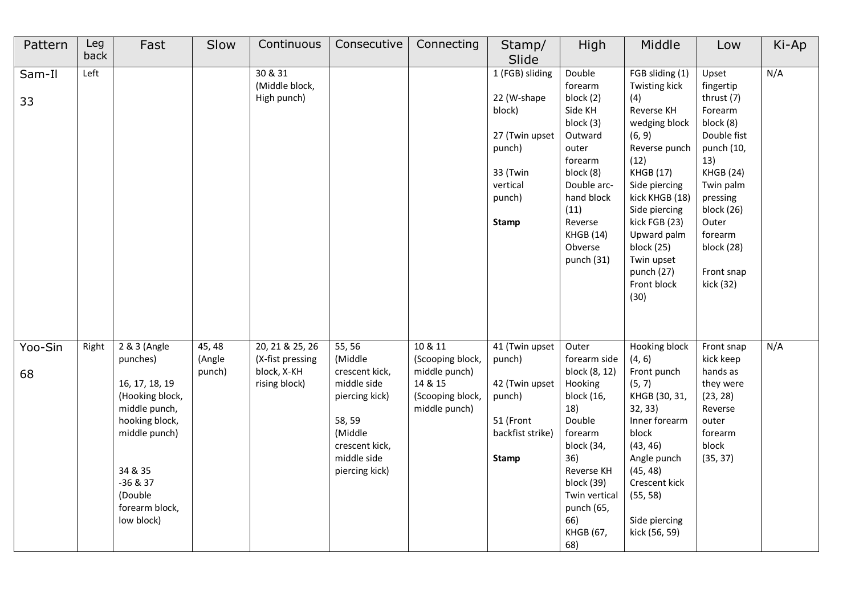| Pattern       | Leg<br>back | Fast                                                                                                                                                                                  | Slow                       | Continuous                                                          | Consecutive                                                                                                                                  | Connecting                                                                                   | Stamp/<br>Slide                                                                                                        | High                                                                                                                                                                                                          | Middle                                                                                                                                                                                                                                                                             | Low                                                                                                                                                                                                                  | Ki-Ap |
|---------------|-------------|---------------------------------------------------------------------------------------------------------------------------------------------------------------------------------------|----------------------------|---------------------------------------------------------------------|----------------------------------------------------------------------------------------------------------------------------------------------|----------------------------------------------------------------------------------------------|------------------------------------------------------------------------------------------------------------------------|---------------------------------------------------------------------------------------------------------------------------------------------------------------------------------------------------------------|------------------------------------------------------------------------------------------------------------------------------------------------------------------------------------------------------------------------------------------------------------------------------------|----------------------------------------------------------------------------------------------------------------------------------------------------------------------------------------------------------------------|-------|
| Sam-Il<br>33  | Left        |                                                                                                                                                                                       |                            | 30 & 31<br>(Middle block,<br>High punch)                            |                                                                                                                                              |                                                                                              | 1 (FGB) sliding<br>22 (W-shape<br>block)<br>27 (Twin upset<br>punch)<br>33 (Twin<br>vertical<br>punch)<br><b>Stamp</b> | Double<br>forearm<br>block (2)<br>Side KH<br>block (3)<br>Outward<br>outer<br>forearm<br>block (8)<br>Double arc-<br>hand block<br>(11)<br>Reverse<br><b>KHGB (14)</b><br>Obverse<br>punch (31)               | FGB sliding (1)<br>Twisting kick<br>(4)<br>Reverse KH<br>wedging block<br>(6, 9)<br>Reverse punch<br>(12)<br><b>KHGB (17)</b><br>Side piercing<br>kick KHGB (18)<br>Side piercing<br>kick FGB (23)<br>Upward palm<br>block (25)<br>Twin upset<br>punch (27)<br>Front block<br>(30) | Upset<br>fingertip<br>thrust (7)<br>Forearm<br>block (8)<br>Double fist<br>punch (10,<br>13)<br><b>KHGB (24)</b><br>Twin palm<br>pressing<br>block (26)<br>Outer<br>forearm<br>block (28)<br>Front snap<br>kick (32) | N/A   |
| Yoo-Sin<br>68 | Right       | 2 & 3 (Angle<br>punches)<br>16, 17, 18, 19<br>(Hooking block,<br>middle punch,<br>hooking block,<br>middle punch)<br>34 & 35<br>$-36 & 37$<br>(Double<br>forearm block,<br>low block) | 45, 48<br>(Angle<br>punch) | 20, 21 & 25, 26<br>(X-fist pressing<br>block, X-KH<br>rising block) | 55, 56<br>(Middle<br>crescent kick,<br>middle side<br>piercing kick)<br>58, 59<br>(Middle<br>crescent kick,<br>middle side<br>piercing kick) | 10 & 11<br>(Scooping block,<br>middle punch)<br>14 & 15<br>(Scooping block,<br>middle punch) | 41 (Twin upset<br>punch)<br>42 (Twin upset<br>punch)<br>51 (Front<br>backfist strike)<br><b>Stamp</b>                  | Outer<br>forearm side<br>block (8, 12)<br>Hooking<br>block (16,<br>18)<br>Double<br>forearm<br>block (34,<br>36)<br>Reverse KH<br>block (39)<br>Twin vertical<br>punch (65,<br>66)<br><b>KHGB (67,</b><br>68) | Hooking block<br>(4, 6)<br>Front punch<br>(5, 7)<br>KHGB (30, 31,<br>32, 33)<br>Inner forearm<br>block<br>(43, 46)<br>Angle punch<br>(45, 48)<br>Crescent kick<br>(55, 58)<br>Side piercing<br>kick (56, 59)                                                                       | Front snap<br>kick keep<br>hands as<br>they were<br>(23, 28)<br>Reverse<br>outer<br>forearm<br>block<br>(35, 37)                                                                                                     | N/A   |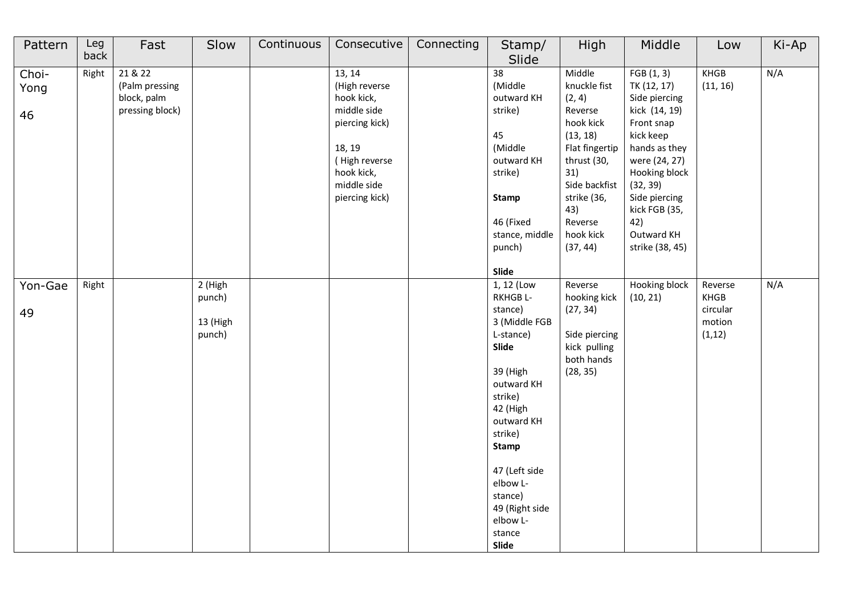| Pattern             | Leg<br>back | Fast                                                        | Slow                                    | Continuous | Consecutive                                                                                                                                      | Connecting | Stamp/<br>Slide                                                                                                                                                                                                                                             | High                                                                                                                                                                                    | Middle                                                                                                                                                                                                                         | Low                                                                             | Ki-Ap |
|---------------------|-------------|-------------------------------------------------------------|-----------------------------------------|------------|--------------------------------------------------------------------------------------------------------------------------------------------------|------------|-------------------------------------------------------------------------------------------------------------------------------------------------------------------------------------------------------------------------------------------------------------|-----------------------------------------------------------------------------------------------------------------------------------------------------------------------------------------|--------------------------------------------------------------------------------------------------------------------------------------------------------------------------------------------------------------------------------|---------------------------------------------------------------------------------|-------|
| Choi-<br>Yong<br>46 | Right       | 21 & 22<br>(Palm pressing<br>block, palm<br>pressing block) |                                         |            | 13, 14<br>(High reverse<br>hook kick,<br>middle side<br>piercing kick)<br>18, 19<br>(High reverse<br>hook kick,<br>middle side<br>piercing kick) |            | 38<br>(Middle<br>outward KH<br>strike)<br>45<br>(Middle<br>outward KH<br>strike)<br><b>Stamp</b><br>46 (Fixed<br>stance, middle<br>punch)<br>Slide                                                                                                          | Middle<br>knuckle fist<br>(2, 4)<br>Reverse<br>hook kick<br>(13, 18)<br>Flat fingertip<br>thrust (30,<br>31)<br>Side backfist<br>strike (36,<br>43)<br>Reverse<br>hook kick<br>(37, 44) | FGB(1, 3)<br>TK (12, 17)<br>Side piercing<br>kick (14, 19)<br>Front snap<br>kick keep<br>hands as they<br>were (24, 27)<br>Hooking block<br>(32, 39)<br>Side piercing<br>kick FGB (35,<br>42)<br>Outward KH<br>strike (38, 45) | KHGB<br>(11, 16)                                                                | N/A   |
| Yon-Gae<br>49       | Right       |                                                             | 2 (High<br>punch)<br>13 (High<br>punch) |            |                                                                                                                                                  |            | 1, 12 (Low<br>RKHGB L-<br>stance)<br>3 (Middle FGB<br>L-stance)<br>Slide<br>39 (High<br>outward KH<br>strike)<br>42 (High<br>outward KH<br>strike)<br><b>Stamp</b><br>47 (Left side<br>elbow L-<br>stance)<br>49 (Right side<br>elbow L-<br>stance<br>Slide | Reverse<br>hooking kick<br>(27, 34)<br>Side piercing<br>kick pulling<br>both hands<br>(28, 35)                                                                                          | Hooking block<br>(10, 21)                                                                                                                                                                                                      | Reverse<br>$\ensuremath{\mathsf{KHGB}}\xspace$<br>circular<br>motion<br>(1, 12) | N/A   |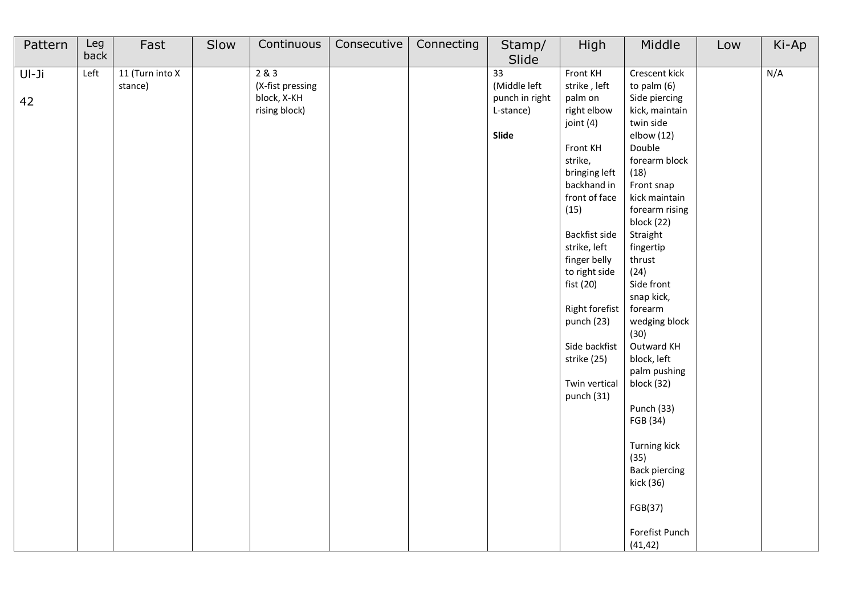| Pattern       | Leg<br>back | Fast                       | Slow | Continuous                                                | Consecutive | Connecting | Stamp/                                                                           | High                                                                                                                                                                                                                                                                                                                          | Middle                                                                                                                                                                                                                                                                                                                                                                                                                                                                                 | Low | Ki-Ap |
|---------------|-------------|----------------------------|------|-----------------------------------------------------------|-------------|------------|----------------------------------------------------------------------------------|-------------------------------------------------------------------------------------------------------------------------------------------------------------------------------------------------------------------------------------------------------------------------------------------------------------------------------|----------------------------------------------------------------------------------------------------------------------------------------------------------------------------------------------------------------------------------------------------------------------------------------------------------------------------------------------------------------------------------------------------------------------------------------------------------------------------------------|-----|-------|
| $UI-Ji$<br>42 | Left        | 11 (Turn into X<br>stance) |      | 2 & 3<br>(X-fist pressing<br>block, X-KH<br>rising block) |             |            | Slide<br>$\overline{33}$<br>(Middle left<br>punch in right<br>L-stance)<br>Slide | Front KH<br>strike, left<br>palm on<br>right elbow<br>joint (4)<br>Front KH<br>strike,<br>bringing left<br>backhand in<br>front of face<br>(15)<br>Backfist side<br>strike, left<br>finger belly<br>to right side<br>fist (20)<br>Right forefist<br>punch (23)<br>Side backfist<br>strike (25)<br>Twin vertical<br>punch (31) | Crescent kick<br>to palm (6)<br>Side piercing<br>kick, maintain<br>twin side<br>elbow (12)<br>Double<br>forearm block<br>(18)<br>Front snap<br>kick maintain<br>forearm rising<br>block (22)<br>Straight<br>fingertip<br>thrust<br>(24)<br>Side front<br>snap kick,<br>forearm<br>wedging block<br>(30)<br>Outward KH<br>block, left<br>palm pushing<br>block (32)<br>Punch (33)<br>FGB (34)<br>Turning kick<br>(35)<br><b>Back piercing</b><br>kick (36)<br>FGB(37)<br>Forefist Punch |     | N/A   |
|               |             |                            |      |                                                           |             |            |                                                                                  |                                                                                                                                                                                                                                                                                                                               | (41, 42)                                                                                                                                                                                                                                                                                                                                                                                                                                                                               |     |       |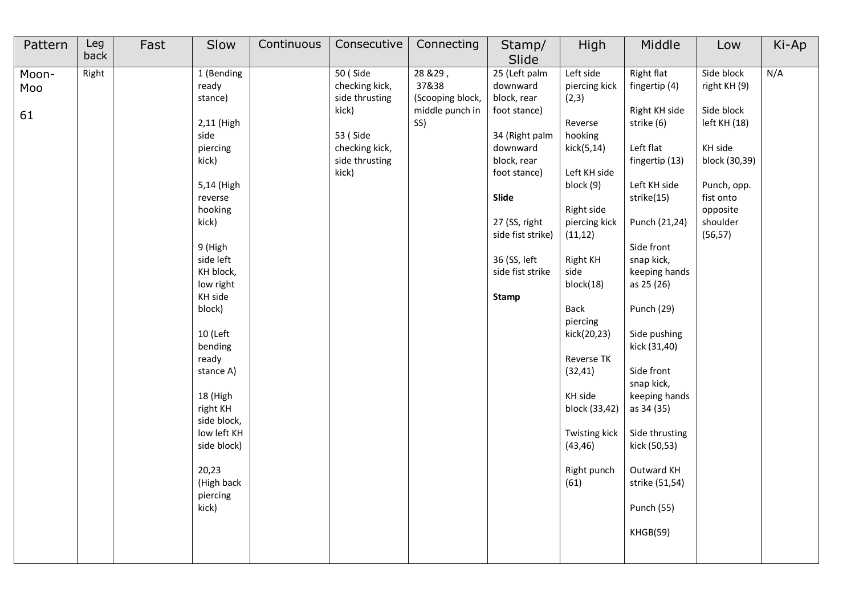| Pattern            | Leg<br>back | Fast | Slow                                                                                                                                                                                                                                                                                                                                                        | Continuous | Consecutive                                                                                                    | Connecting                                                      | Stamp/<br>Slide                                                                                                                                                                                                          | High                                                                                                                                                                                                                                                                                                                                 | Middle                                                                                                                                                                                                                                                                                                                                                                                                          | Low                                                                                                                                                  | Ki-Ap |
|--------------------|-------------|------|-------------------------------------------------------------------------------------------------------------------------------------------------------------------------------------------------------------------------------------------------------------------------------------------------------------------------------------------------------------|------------|----------------------------------------------------------------------------------------------------------------|-----------------------------------------------------------------|--------------------------------------------------------------------------------------------------------------------------------------------------------------------------------------------------------------------------|--------------------------------------------------------------------------------------------------------------------------------------------------------------------------------------------------------------------------------------------------------------------------------------------------------------------------------------|-----------------------------------------------------------------------------------------------------------------------------------------------------------------------------------------------------------------------------------------------------------------------------------------------------------------------------------------------------------------------------------------------------------------|------------------------------------------------------------------------------------------------------------------------------------------------------|-------|
| Moon-<br>Moo<br>61 | Right       |      | 1 (Bending<br>ready<br>stance)<br>2,11 (High<br>side<br>piercing<br>kick)<br>5,14 (High<br>reverse<br>hooking<br>kick)<br>9 (High<br>side left<br>KH block,<br>low right<br>KH side<br>block)<br>10 (Left<br>bending<br>ready<br>stance A)<br>18 (High<br>right KH<br>side block,<br>low left KH<br>side block)<br>20,23<br>(High back<br>piercing<br>kick) |            | 50 (Side<br>checking kick,<br>side thrusting<br>kick)<br>53 (Side<br>checking kick,<br>side thrusting<br>kick) | 28 & 29,<br>37&38<br>(Scooping block,<br>middle punch in<br>SS) | 25 (Left palm<br>downward<br>block, rear<br>foot stance)<br>34 (Right palm<br>downward<br>block, rear<br>foot stance)<br>Slide<br>27 (SS, right<br>side fist strike)<br>36 (SS, left<br>side fist strike<br><b>Stamp</b> | Left side<br>piercing kick<br>(2,3)<br>Reverse<br>hooking<br>kick(5,14)<br>Left KH side<br>block (9)<br>Right side<br>piercing kick<br>(11, 12)<br><b>Right KH</b><br>side<br>block(18)<br>Back<br>piercing<br>kick(20,23)<br>Reverse TK<br>(32, 41)<br>KH side<br>block (33,42)<br>Twisting kick<br>(43, 46)<br>Right punch<br>(61) | Right flat<br>fingertip (4)<br>Right KH side<br>strike (6)<br>Left flat<br>fingertip (13)<br>Left KH side<br>strike(15)<br>Punch (21,24)<br>Side front<br>snap kick,<br>keeping hands<br>as 25 (26)<br><b>Punch (29)</b><br>Side pushing<br>kick (31,40)<br>Side front<br>snap kick,<br>keeping hands<br>as 34 (35)<br>Side thrusting<br>kick (50,53)<br>Outward KH<br>strike (51,54)<br>Punch (55)<br>KHGB(59) | Side block<br>right KH (9)<br>Side block<br>left KH (18)<br>KH side<br>block (30,39)<br>Punch, opp.<br>fist onto<br>opposite<br>shoulder<br>(56, 57) | N/A   |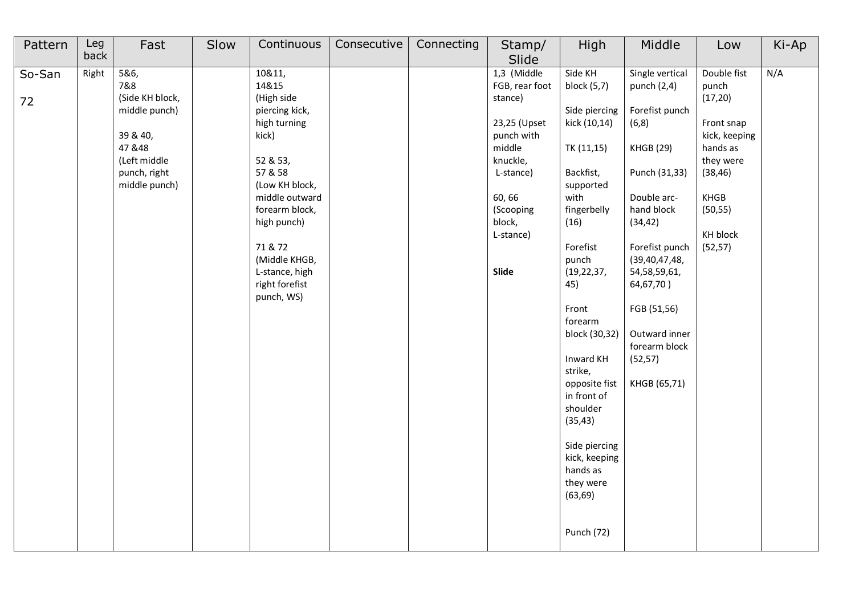| Pattern      | Leg<br>back | Fast                                                                                                                    | Slow | Continuous                                                                                                                                                                                                                                         | Consecutive | Connecting | Stamp/<br>Slide                                                                                                                                                  | High                                                                                                                                                                                                                                                                                                                                                                                        | Middle                                                                                                                                                                                                                                                                                   | Low                                                                                                                                              | Ki-Ap |
|--------------|-------------|-------------------------------------------------------------------------------------------------------------------------|------|----------------------------------------------------------------------------------------------------------------------------------------------------------------------------------------------------------------------------------------------------|-------------|------------|------------------------------------------------------------------------------------------------------------------------------------------------------------------|---------------------------------------------------------------------------------------------------------------------------------------------------------------------------------------------------------------------------------------------------------------------------------------------------------------------------------------------------------------------------------------------|------------------------------------------------------------------------------------------------------------------------------------------------------------------------------------------------------------------------------------------------------------------------------------------|--------------------------------------------------------------------------------------------------------------------------------------------------|-------|
| So-San<br>72 | Right       | 5&6,<br>7&8<br>(Side KH block,<br>middle punch)<br>39 & 40,<br>47 & 48<br>(Left middle<br>punch, right<br>middle punch) |      | 10&11,<br>14&15<br>(High side<br>piercing kick,<br>high turning<br>kick)<br>52 & 53,<br>57 & 58<br>(Low KH block,<br>middle outward<br>forearm block,<br>high punch)<br>71 & 72<br>(Middle KHGB,<br>L-stance, high<br>right forefist<br>punch, WS) |             |            | 1,3 (Middle<br>FGB, rear foot<br>stance)<br>23,25 (Upset<br>punch with<br>middle<br>knuckle,<br>L-stance)<br>60, 66<br>(Scooping<br>block,<br>L-stance)<br>Slide | Side KH<br>block (5,7)<br>Side piercing<br>kick (10,14)<br>TK (11,15)<br>Backfist,<br>supported<br>with<br>fingerbelly<br>(16)<br>Forefist<br>punch<br>(19, 22, 37,<br>45)<br>Front<br>forearm<br>block (30,32)<br>Inward KH<br>strike,<br>opposite fist<br>in front of<br>shoulder<br>(35, 43)<br>Side piercing<br>kick, keeping<br>hands as<br>they were<br>(63, 69)<br><b>Punch (72)</b> | Single vertical<br>punch (2,4)<br>Forefist punch<br>(6, 8)<br><b>KHGB (29)</b><br>Punch (31,33)<br>Double arc-<br>hand block<br>(34, 42)<br>Forefist punch<br>(39, 40, 47, 48,<br>54,58,59,61,<br>64,67,70)<br>FGB (51,56)<br>Outward inner<br>forearm block<br>(52, 57)<br>KHGB (65,71) | Double fist<br>punch<br>(17, 20)<br>Front snap<br>kick, keeping<br>hands as<br>they were<br>(38, 46)<br>KHGB<br>(50, 55)<br>KH block<br>(52, 57) | N/A   |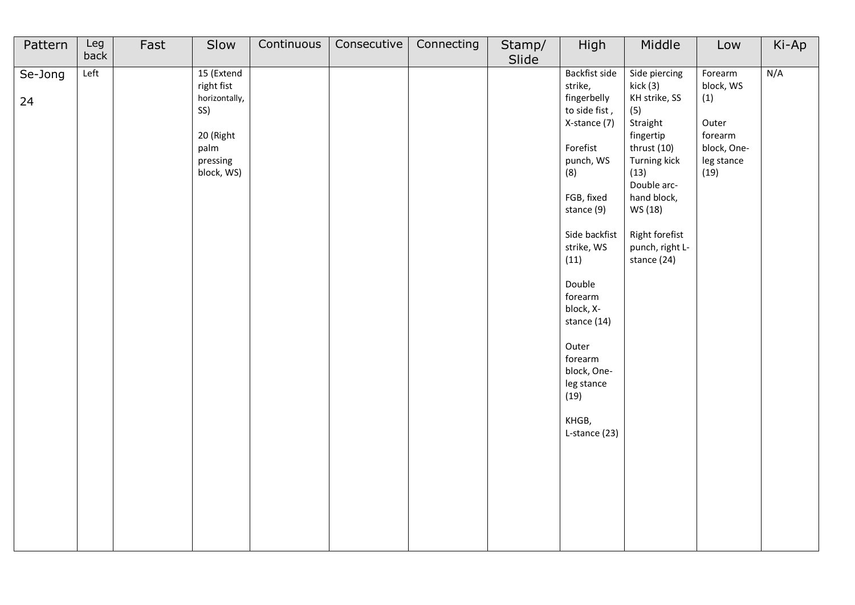| Pattern       | Leg<br>back | Fast | Slow                                                                                            | Continuous | Consecutive | Connecting | Stamp/<br>Slide | High                                                                                                                                                                                                                                                                                                            | Middle                                                                                                                                                                                                         | Low                                                                                  | Ki-Ap |
|---------------|-------------|------|-------------------------------------------------------------------------------------------------|------------|-------------|------------|-----------------|-----------------------------------------------------------------------------------------------------------------------------------------------------------------------------------------------------------------------------------------------------------------------------------------------------------------|----------------------------------------------------------------------------------------------------------------------------------------------------------------------------------------------------------------|--------------------------------------------------------------------------------------|-------|
| Se-Jong<br>24 | Let         |      | 15 (Extend<br>right fist<br>horizontally,<br>SS)<br>20 (Right<br>palm<br>pressing<br>block, WS) |            |             |            |                 | Backfist side<br>strike,<br>fingerbelly<br>to side fist,<br>X-stance (7)<br>Forefist<br>punch, WS<br>(8)<br>FGB, fixed<br>stance (9)<br>Side backfist<br>strike, WS<br>(11)<br>Double<br>forearm<br>block, X-<br>stance (14)<br>Outer<br>forearm<br>block, One-<br>leg stance<br>(19)<br>KHGB,<br>L-stance (23) | Side piercing<br>kick (3)<br>KH strike, SS<br>(5)<br>Straight<br>fingertip<br>thrust (10)<br>Turning kick<br>(13)<br>Double arc-<br>hand block,<br>WS (18)<br>Right forefist<br>punch, right L-<br>stance (24) | Forearm<br>block, WS<br>(1)<br>Outer<br>forearm<br>block, One-<br>leg stance<br>(19) | N/A   |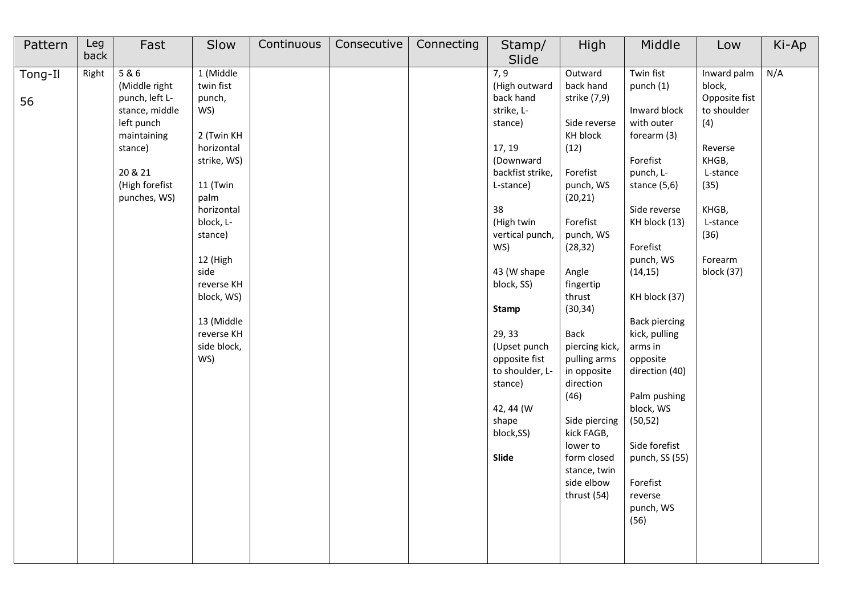| Pattern | Leg<br>back | Fast           | Slow        | Continuous | Consecutive | Connecting | Stamp/           | High           | Middle               | Low           | Ki-Ap |
|---------|-------------|----------------|-------------|------------|-------------|------------|------------------|----------------|----------------------|---------------|-------|
|         |             |                |             |            |             |            | Slide            |                |                      |               |       |
| Tong-Il | Right       | 5 & 6          | 1 (Middle   |            |             |            | 7,9              | Outward        | Twin fist            | Inward palm   | N/A   |
|         |             | (Middle right  | twin fist   |            |             |            | (High outward    | back hand      | punch (1)            | block,        |       |
| 56      |             | punch, left L- | punch,      |            |             |            | back hand        | strike (7,9)   |                      | Opposite fist |       |
|         |             | stance, middle | WS)         |            |             |            | strike, L-       |                | Inward block         | to shoulder   |       |
|         |             | left punch     |             |            |             |            | stance)          | Side reverse   | with outer           | (4)           |       |
|         |             | maintaining    | 2 (Twin KH  |            |             |            |                  | KH block       | forearm (3)          |               |       |
|         |             | stance)        | horizontal  |            |             |            | 17, 19           | (12)           |                      | Reverse       |       |
|         |             |                | strike, WS) |            |             |            | (Downward        |                | Forefist             | KHGB,         |       |
|         |             | 20 & 21        |             |            |             |            | backfist strike, | Forefist       | punch, L-            | L-stance      |       |
|         |             | (High forefist | 11 (Twin    |            |             |            | L-stance)        | punch, WS      | stance (5,6)         | (35)          |       |
|         |             | punches, WS)   | palm        |            |             |            |                  | (20, 21)       |                      |               |       |
|         |             |                | horizontal  |            |             |            | 38               |                | Side reverse         | KHGB,         |       |
|         |             |                | block, L-   |            |             |            | (High twin       | Forefist       | KH block (13)        | L-stance      |       |
|         |             |                | stance)     |            |             |            | vertical punch,  | punch, WS      |                      | (36)          |       |
|         |             |                |             |            |             |            | WS)              | (28, 32)       | Forefist             |               |       |
|         |             |                | 12 (High    |            |             |            |                  |                | punch, WS            | Forearm       |       |
|         |             |                | side        |            |             |            | 43 (W shape      | Angle          | (14, 15)             | block (37)    |       |
|         |             |                | reverse KH  |            |             |            | block, SS)       | fingertip      |                      |               |       |
|         |             |                | block, WS)  |            |             |            |                  | thrust         | KH block (37)        |               |       |
|         |             |                |             |            |             |            | <b>Stamp</b>     | (30, 34)       |                      |               |       |
|         |             |                | 13 (Middle  |            |             |            |                  |                | <b>Back piercing</b> |               |       |
|         |             |                | reverse KH  |            |             |            | 29, 33           | <b>Back</b>    | kick, pulling        |               |       |
|         |             |                | side block, |            |             |            | (Upset punch     | piercing kick, | arms in              |               |       |
|         |             |                | WS)         |            |             |            | opposite fist    | pulling arms   | opposite             |               |       |
|         |             |                |             |            |             |            | to shoulder, L-  | in opposite    | direction (40)       |               |       |
|         |             |                |             |            |             |            | stance)          | direction      |                      |               |       |
|         |             |                |             |            |             |            |                  | (46)           | Palm pushing         |               |       |
|         |             |                |             |            |             |            | 42, 44 (W)       |                | block, WS            |               |       |
|         |             |                |             |            |             |            | shape            | Side piercing  | (50, 52)             |               |       |
|         |             |                |             |            |             |            | block,SS)        | kick FAGB,     |                      |               |       |
|         |             |                |             |            |             |            |                  | lower to       | Side forefist        |               |       |
|         |             |                |             |            |             |            | Slide            | form closed    | punch, SS (55)       |               |       |
|         |             |                |             |            |             |            |                  | stance, twin   |                      |               |       |
|         |             |                |             |            |             |            |                  | side elbow     | Forefist             |               |       |
|         |             |                |             |            |             |            |                  | thrust (54)    | reverse              |               |       |
|         |             |                |             |            |             |            |                  |                | punch, WS            |               |       |
|         |             |                |             |            |             |            |                  |                | (56)                 |               |       |
|         |             |                |             |            |             |            |                  |                |                      |               |       |
|         |             |                |             |            |             |            |                  |                |                      |               |       |
|         |             |                |             |            |             |            |                  |                |                      |               |       |